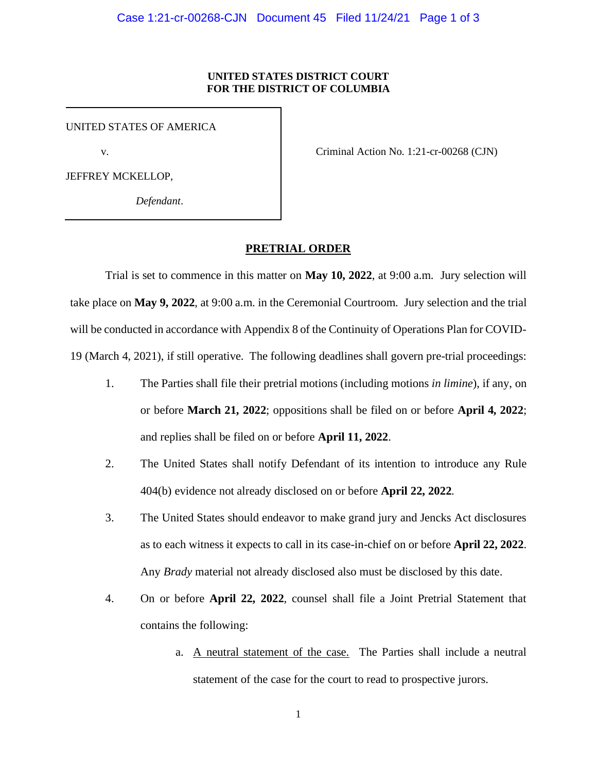## **UNITED STATES DISTRICT COURT FOR THE DISTRICT OF COLUMBIA**

UNITED STATES OF AMERICA

JEFFREY MCKELLOP,

*Defendant*.

v. Criminal Action No. 1:21-cr-00268 (CJN)

**PRETRIAL ORDER**

Trial is set to commence in this matter on **May 10, 2022**, at 9:00 a.m. Jury selection will take place on **May 9, 2022**, at 9:00 a.m. in the Ceremonial Courtroom. Jury selection and the trial will be conducted in accordance with Appendix 8 of the Continuity of Operations Plan for COVID-19 (March 4, 2021), if still operative. The following deadlines shall govern pre-trial proceedings:

- 1. The Parties shall file their pretrial motions (including motions *in limine*), if any, on or before **March 21, 2022**; oppositions shall be filed on or before **April 4, 2022**; and replies shall be filed on or before **April 11, 2022**.
- 2. The United States shall notify Defendant of its intention to introduce any Rule 404(b) evidence not already disclosed on or before **April 22, 2022**.
- 3. The United States should endeavor to make grand jury and Jencks Act disclosures as to each witness it expects to call in its case-in-chief on or before **April 22, 2022**. Any *Brady* material not already disclosed also must be disclosed by this date.
- 4. On or before **April 22, 2022**, counsel shall file a Joint Pretrial Statement that contains the following:
	- a. A neutral statement of the case. The Parties shall include a neutral statement of the case for the court to read to prospective jurors.

1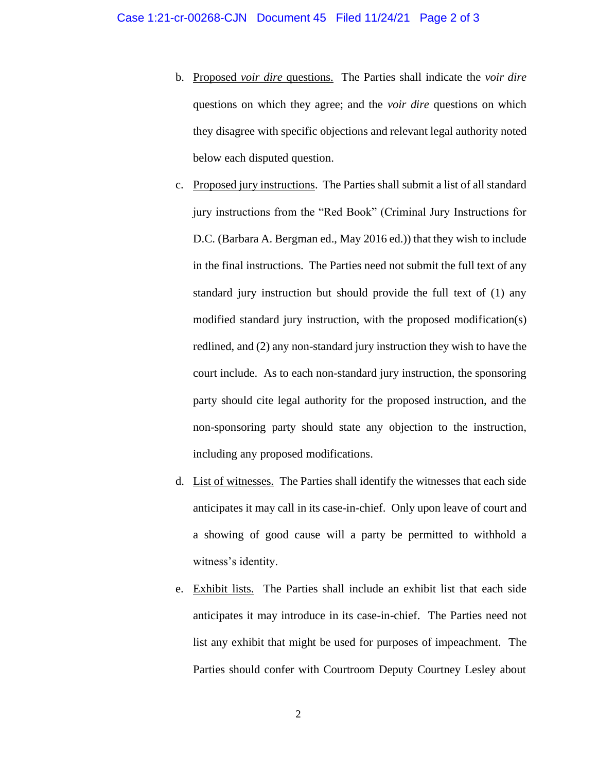- b. Proposed *voir dire* questions. The Parties shall indicate the *voir dire* questions on which they agree; and the *voir dire* questions on which they disagree with specific objections and relevant legal authority noted below each disputed question.
- c. Proposed jury instructions. The Parties shall submit a list of all standard jury instructions from the "Red Book" (Criminal Jury Instructions for D.C. (Barbara A. Bergman ed., May 2016 ed.)) that they wish to include in the final instructions. The Parties need not submit the full text of any standard jury instruction but should provide the full text of (1) any modified standard jury instruction, with the proposed modification(s) redlined, and (2) any non-standard jury instruction they wish to have the court include. As to each non-standard jury instruction, the sponsoring party should cite legal authority for the proposed instruction, and the non-sponsoring party should state any objection to the instruction, including any proposed modifications.
- d. List of witnesses. The Parties shall identify the witnesses that each side anticipates it may call in its case-in-chief. Only upon leave of court and a showing of good cause will a party be permitted to withhold a witness's identity.
- e. Exhibit lists. The Parties shall include an exhibit list that each side anticipates it may introduce in its case-in-chief. The Parties need not list any exhibit that might be used for purposes of impeachment. The Parties should confer with Courtroom Deputy Courtney Lesley about